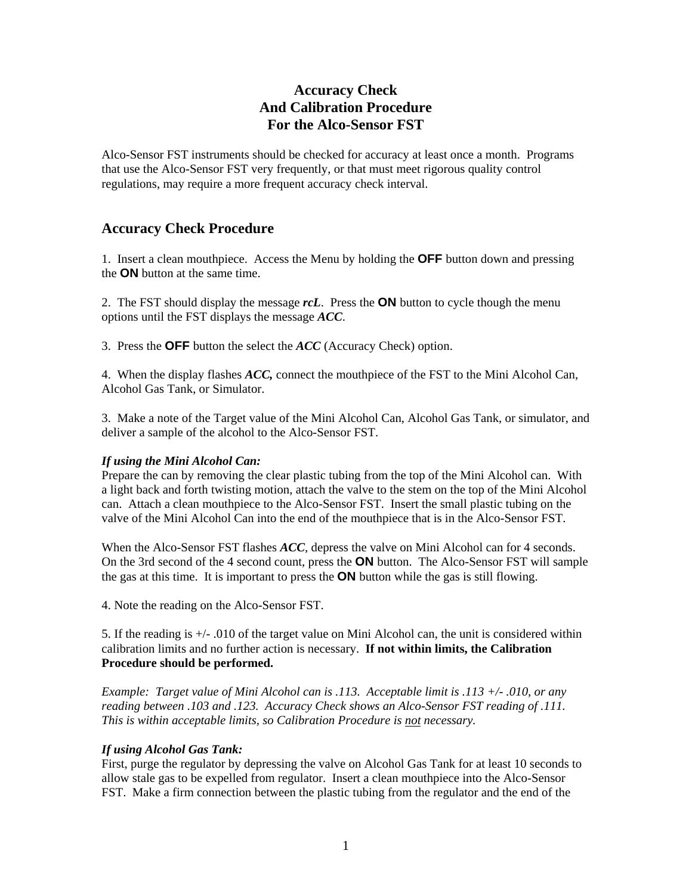# **Accuracy Check And Calibration Procedure For the Alco-Sensor FST**

Alco-Sensor FST instruments should be checked for accuracy at least once a month. Programs that use the Alco-Sensor FST very frequently, or that must meet rigorous quality control regulations, may require a more frequent accuracy check interval.

# **Accuracy Check Procedure**

1. Insert a clean mouthpiece. Access the Menu by holding the **OFF** button down and pressing the **ON** button at the same time.

2. The FST should display the message *rcL*. Press the **ON** button to cycle though the menu options until the FST displays the message *ACC*.

3. Press the **OFF** button the select the *ACC* (Accuracy Check) option.

4. When the display flashes *ACC,* connect the mouthpiece of the FST to the Mini Alcohol Can, Alcohol Gas Tank, or Simulator.

3. Make a note of the Target value of the Mini Alcohol Can, Alcohol Gas Tank, or simulator, and deliver a sample of the alcohol to the Alco-Sensor FST.

### *If using the Mini Alcohol Can:*

Prepare the can by removing the clear plastic tubing from the top of the Mini Alcohol can. With a light back and forth twisting motion, attach the valve to the stem on the top of the Mini Alcohol can. Attach a clean mouthpiece to the Alco-Sensor FST. Insert the small plastic tubing on the valve of the Mini Alcohol Can into the end of the mouthpiece that is in the Alco-Sensor FST.

When the Alco-Sensor FST flashes *ACC*, depress the valve on Mini Alcohol can for 4 seconds. On the 3rd second of the 4 second count, press the **ON** button. The Alco-Sensor FST will sample the gas at this time. It is important to press the **ON** button while the gas is still flowing.

4. Note the reading on the Alco-Sensor FST.

5. If the reading is +/- .010 of the target value on Mini Alcohol can, the unit is considered within calibration limits and no further action is necessary. **If not within limits, the Calibration Procedure should be performed.** 

*Example: Target value of Mini Alcohol can is .113. Acceptable limit is .113 +/- .010, or any reading between .103 and .123. Accuracy Check shows an Alco-Sensor FST reading of .111. This is within acceptable limits, so Calibration Procedure is not necessary.* 

### *If using Alcohol Gas Tank:*

First, purge the regulator by depressing the valve on Alcohol Gas Tank for at least 10 seconds to allow stale gas to be expelled from regulator. Insert a clean mouthpiece into the Alco-Sensor FST. Make a firm connection between the plastic tubing from the regulator and the end of the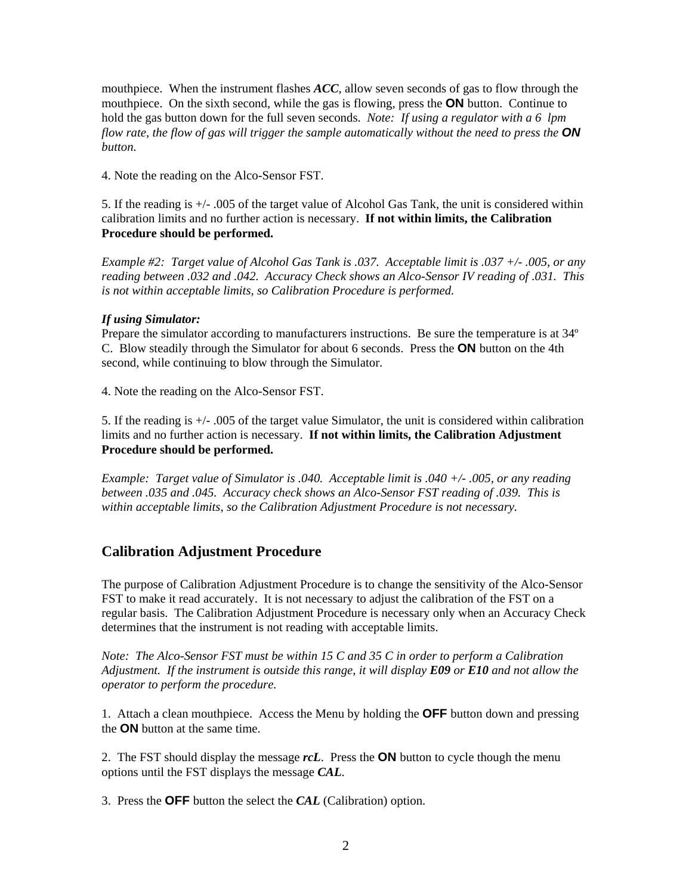mouthpiece. When the instrument flashes *ACC*, allow seven seconds of gas to flow through the mouthpiece. On the sixth second, while the gas is flowing, press the **ON** button. Continue to hold the gas button down for the full seven seconds. *Note: If using a regulator with a 6 lpm flow rate, the flow of gas will trigger the sample automatically without the need to press the ON button.* 

4. Note the reading on the Alco-Sensor FST.

5. If the reading is +/- .005 of the target value of Alcohol Gas Tank, the unit is considered within calibration limits and no further action is necessary. **If not within limits, the Calibration Procedure should be performed.** 

*Example #2: Target value of Alcohol Gas Tank is .037. Acceptable limit is .037 +/- .005, or any reading between .032 and .042. Accuracy Check shows an Alco-Sensor IV reading of .031. This is not within acceptable limits, so Calibration Procedure is performed.* 

### *If using Simulator:*

Prepare the simulator according to manufacturers instructions. Be sure the temperature is at 34º C. Blow steadily through the Simulator for about 6 seconds. Press the **ON** button on the 4th second, while continuing to blow through the Simulator.

4. Note the reading on the Alco-Sensor FST.

5. If the reading is +/- .005 of the target value Simulator, the unit is considered within calibration limits and no further action is necessary. **If not within limits, the Calibration Adjustment Procedure should be performed.**

*Example: Target value of Simulator is .040. Acceptable limit is .040 +/- .005, or any reading between .035 and .045. Accuracy check shows an Alco-Sensor FST reading of .039. This is within acceptable limits, so the Calibration Adjustment Procedure is not necessary.* 

# **Calibration Adjustment Procedure**

The purpose of Calibration Adjustment Procedure is to change the sensitivity of the Alco-Sensor FST to make it read accurately. It is not necessary to adjust the calibration of the FST on a regular basis. The Calibration Adjustment Procedure is necessary only when an Accuracy Check determines that the instrument is not reading with acceptable limits.

*Note: The Alco-Sensor FST must be within 15 C and 35 C in order to perform a Calibration Adjustment. If the instrument is outside this range, it will display E09 or E10 and not allow the operator to perform the procedure.* 

1. Attach a clean mouthpiece. Access the Menu by holding the **OFF** button down and pressing the **ON** button at the same time.

2. The FST should display the message *rcL*. Press the **ON** button to cycle though the menu options until the FST displays the message *CAL*.

3. Press the **OFF** button the select the *CAL* (Calibration) option.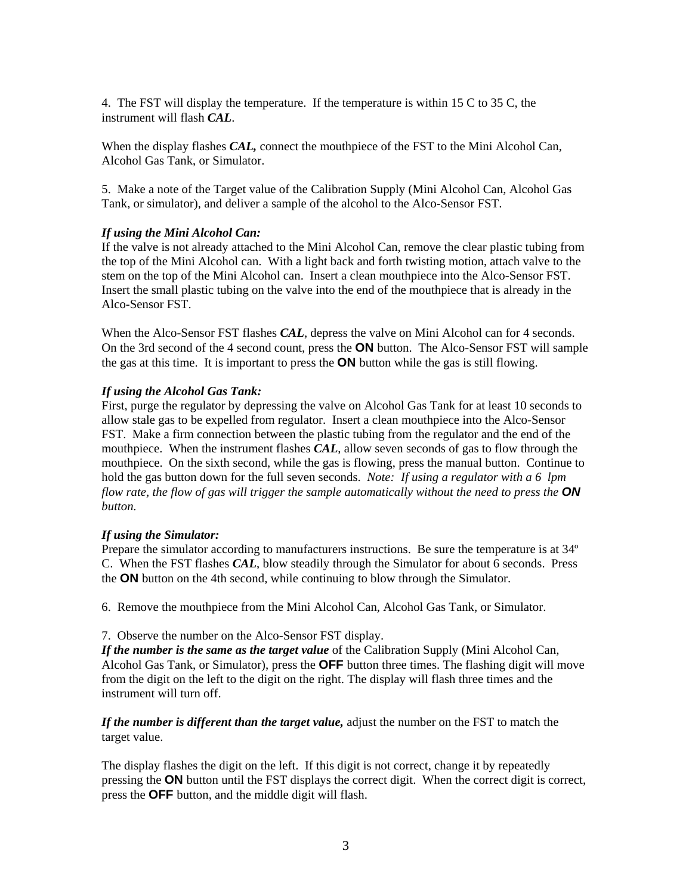4. The FST will display the temperature. If the temperature is within 15 C to 35 C, the instrument will flash *CAL*.

When the display flashes *CAL,* connect the mouthpiece of the FST to the Mini Alcohol Can, Alcohol Gas Tank, or Simulator.

5. Make a note of the Target value of the Calibration Supply (Mini Alcohol Can, Alcohol Gas Tank, or simulator), and deliver a sample of the alcohol to the Alco-Sensor FST.

#### *If using the Mini Alcohol Can:*

If the valve is not already attached to the Mini Alcohol Can, remove the clear plastic tubing from the top of the Mini Alcohol can. With a light back and forth twisting motion, attach valve to the stem on the top of the Mini Alcohol can. Insert a clean mouthpiece into the Alco-Sensor FST. Insert the small plastic tubing on the valve into the end of the mouthpiece that is already in the Alco-Sensor FST.

When the Alco-Sensor FST flashes *CAL*, depress the valve on Mini Alcohol can for 4 seconds. On the 3rd second of the 4 second count, press the **ON** button. The Alco-Sensor FST will sample the gas at this time. It is important to press the **ON** button while the gas is still flowing.

#### *If using the Alcohol Gas Tank:*

First, purge the regulator by depressing the valve on Alcohol Gas Tank for at least 10 seconds to allow stale gas to be expelled from regulator. Insert a clean mouthpiece into the Alco-Sensor FST. Make a firm connection between the plastic tubing from the regulator and the end of the mouthpiece. When the instrument flashes *CAL*, allow seven seconds of gas to flow through the mouthpiece. On the sixth second, while the gas is flowing, press the manual button. Continue to hold the gas button down for the full seven seconds. *Note: If using a regulator with a 6 lpm flow rate, the flow of gas will trigger the sample automatically without the need to press the ON button.* 

#### *If using the Simulator:*

Prepare the simulator according to manufacturers instructions. Be sure the temperature is at 34º C. When the FST flashes *CAL*, blow steadily through the Simulator for about 6 seconds. Press the **ON** button on the 4th second, while continuing to blow through the Simulator.

6. Remove the mouthpiece from the Mini Alcohol Can, Alcohol Gas Tank, or Simulator.

#### 7. Observe the number on the Alco-Sensor FST display.

*If the number is the same as the target value* of the Calibration Supply (Mini Alcohol Can, Alcohol Gas Tank, or Simulator), press the **OFF** button three times. The flashing digit will move from the digit on the left to the digit on the right. The display will flash three times and the instrument will turn off.

*If the number is different than the target value,* adjust the number on the FST to match the target value.

The display flashes the digit on the left. If this digit is not correct, change it by repeatedly pressing the **ON** button until the FST displays the correct digit. When the correct digit is correct, press the **OFF** button, and the middle digit will flash.